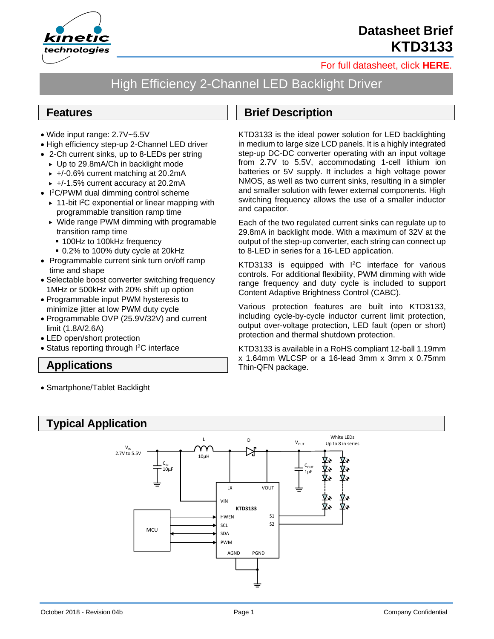

# **Datasheet Brief KTD3133**

[For full datasheet, click](https://www.kinet-ic.com/sample-buy/request-document/?part=KTD3133%20Full%20Datasheet) **HERE**.

## High Efficiency 2-Channel LED Backlight Driver

#### **Features**

- Wide input range: 2.7V~5.5V
- High efficiency step-up 2-Channel LED driver
- 2-Ch current sinks, up to 8-LEDs per string
	- ► Up to 29.8mA/Ch in backlight mode
	- $\rightarrow$  +/-0.6% current matching at 20.2mA
	- $\rightarrow$  +/-1.5% current accuracy at 20.2mA
- I <sup>2</sup>C/PWM dual dimming control scheme
	- ▶ 11-bit I<sup>2</sup>C exponential or linear mapping with programmable transition ramp time
	- ▶ Wide range PWM dimming with programable transition ramp time
		- 100Hz to 100kHz frequency
		- 0.2% to 100% duty cycle at 20kHz
- Programmable current sink turn on/off ramp time and shape
- Selectable boost converter switching frequency 1MHz or 500kHz with 20% shift up option
- Programmable input PWM hysteresis to minimize jitter at low PWM duty cycle
- Programmable OVP (25.9V/32V) and current limit (1.8A/2.6A)
- LED open/short protection
- Status reporting through I<sup>2</sup>C interface

### **Applications**

• Smartphone/Tablet Backlight

#### **Brief Description**

KTD3133 is the ideal power solution for LED backlighting in medium to large size LCD panels. It is a highly integrated step-up DC-DC converter operating with an input voltage from 2.7V to 5.5V, accommodating 1-cell lithium ion batteries or 5V supply. It includes a high voltage power NMOS, as well as two current sinks, resulting in a simpler and smaller solution with fewer external components. High switching frequency allows the use of a smaller inductor and capacitor.

Each of the two regulated current sinks can regulate up to 29.8mA in backlight mode. With a maximum of 32V at the output of the step-up converter, each string can connect up to 8-LED in series for a 16-LED application.

KTD3133 is equipped with I<sup>2</sup>C interface for various controls. For additional flexibility, PWM dimming with wide range frequency and duty cycle is included to support Content Adaptive Brightness Control (CABC).

Various protection features are built into KTD3133, including cycle-by-cycle inductor current limit protection, output over-voltage protection, LED fault (open or short) protection and thermal shutdown protection.

KTD3133 is available in a RoHS compliant 12-ball 1.19mm x 1.64mm WLCSP or a 16-lead 3mm x 3mm x 0.75mm Thin-QFN package.